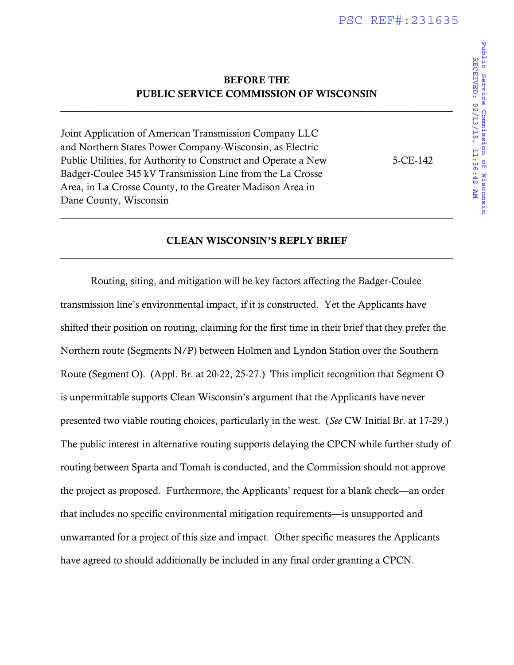# BEFORE THE PUBLIC SERVICE COMMISSION OF WISCONSIN

\_\_\_\_\_\_\_\_\_\_\_\_\_\_\_\_\_\_\_\_\_\_\_\_\_\_\_\_\_\_\_\_\_\_\_\_\_\_\_\_\_\_\_\_\_\_\_\_\_\_\_\_\_\_\_\_\_\_\_\_\_\_\_\_\_\_\_\_\_\_\_\_\_\_\_\_\_\_

Joint Application of American Transmission Company LLC and Northern States Power Company-Wisconsin, as Electric Public Utilities, for Authority to Construct and Operate a New 5-CE-142 Badger-Coulee 345 kV Transmission Line from the La Crosse Area, in La Crosse County, to the Greater Madison Area in Dane County, Wisconsin

# CLEAN WISCONSIN'S REPLY BRIEF \_\_\_\_\_\_\_\_\_\_\_\_\_\_\_\_\_\_\_\_\_\_\_\_\_\_\_\_\_\_\_\_\_\_\_\_\_\_\_\_\_\_\_\_\_\_\_\_\_\_\_\_\_\_\_\_\_\_\_\_\_\_\_\_\_\_\_\_\_\_\_\_\_\_\_\_\_\_

\_\_\_\_\_\_\_\_\_\_\_\_\_\_\_\_\_\_\_\_\_\_\_\_\_\_\_\_\_\_\_\_\_\_\_\_\_\_\_\_\_\_\_\_\_\_\_\_\_\_\_\_\_\_\_\_\_\_\_\_\_\_\_\_\_\_\_\_\_\_\_\_\_\_\_\_\_\_

Routing, siting, and mitigation will be key factors affecting the Badger-Coulee transmission line's environmental impact, if it is constructed. Yet the Applicants have shifted their position on routing, claiming for the first time in their brief that they prefer the Northern route (Segments N/P) between Holmen and Lyndon Station over the Southern Route (Segment O). (Appl. Br. at 20-22, 25-27.) This implicit recognition that Segment O is unpermittable supports Clean Wisconsin's argument that the Applicants have never presented two viable routing choices, particularly in the west. (*See* CW Initial Br. at 17-29.) The public interest in alternative routing supports delaying the CPCN while further study of routing between Sparta and Tomah is conducted, and the Commission should not approve the project as proposed. Furthermore, the Applicants' request for a blank check—an order that includes no specific environmental mitigation requirements—is unsupported and unwarranted for a project of this size and impact. Other specific measures the Applicants have agreed to should additionally be included in any final order granting a CPCN.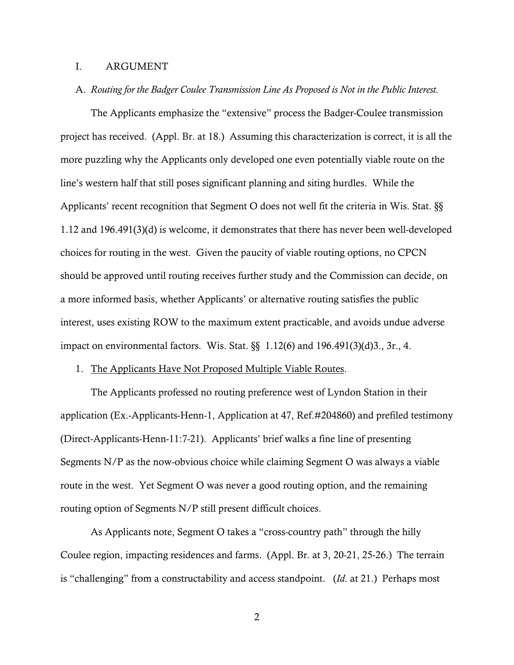#### I. ARGUMENT

A. *Routing for the Badger Coulee Transmission Line As Proposed is Not in the Public Interest.*

The Applicants emphasize the "extensive" process the Badger-Coulee transmission project has received. (Appl. Br. at 18.) Assuming this characterization is correct, it is all the more puzzling why the Applicants only developed one even potentially viable route on the line's western half that still poses significant planning and siting hurdles. While the Applicants' recent recognition that Segment O does not well fit the criteria in Wis. Stat. §§ 1.12 and 196.491(3)(d) is welcome, it demonstrates that there has never been well-developed choices for routing in the west. Given the paucity of viable routing options, no CPCN should be approved until routing receives further study and the Commission can decide, on a more informed basis, whether Applicants' or alternative routing satisfies the public interest, uses existing ROW to the maximum extent practicable, and avoids undue adverse impact on environmental factors. Wis. Stat. §§ 1.12(6) and 196.491(3)(d)3., 3r., 4.

#### 1. The Applicants Have Not Proposed Multiple Viable Routes.

The Applicants professed no routing preference west of Lyndon Station in their application (Ex.-Applicants-Henn-1, Application at 47, Ref.#204860) and prefiled testimony (Direct-Applicants-Henn-11:7-21). Applicants' brief walks a fine line of presenting Segments N/P as the now-obvious choice while claiming Segment O was always a viable route in the west. Yet Segment O was never a good routing option, and the remaining routing option of Segments N/P still present difficult choices.

As Applicants note, Segment O takes a "cross-country path" through the hilly Coulee region, impacting residences and farms. (Appl. Br. at 3, 20-21, 25-26.) The terrain is "challenging" from a constructability and access standpoint. (*Id*. at 21.) Perhaps most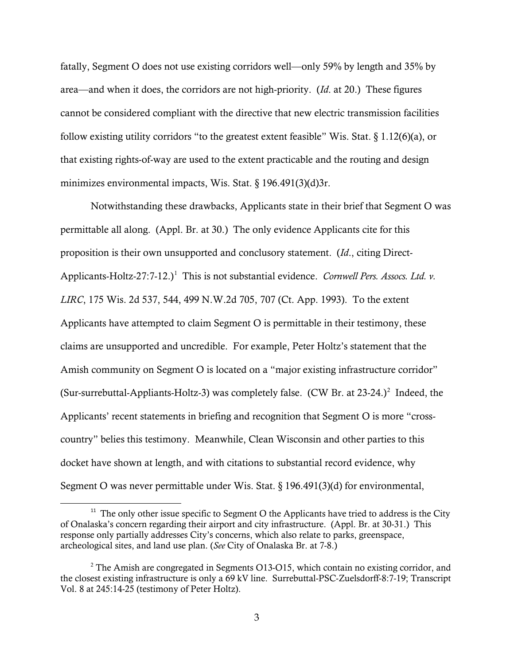fatally, Segment O does not use existing corridors well—only 59% by length and 35% by area—and when it does, the corridors are not high-priority. (*Id*. at 20.) These figures cannot be considered compliant with the directive that new electric transmission facilities follow existing utility corridors "to the greatest extent feasible" Wis. Stat. § 1.12(6)(a), or that existing rights-of-way are used to the extent practicable and the routing and design minimizes environmental impacts, Wis. Stat. § 196.491(3)(d)3r.

Notwithstanding these drawbacks, Applicants state in their brief that Segment O was permittable all along. (Appl. Br. at 30.) The only evidence Applicants cite for this proposition is their own unsupported and conclusory statement. (*Id*., citing Direct-Applicants-Holtz-27:7-12.)<sup>1</sup> This is not substantial evidence. *Cornwell Pers. Assocs. Ltd. v. LIRC*, 175 Wis. 2d 537, 544, 499 N.W.2d 705, 707 (Ct. App. 1993). To the extent Applicants have attempted to claim Segment O is permittable in their testimony, these claims are unsupported and uncredible. For example, Peter Holtz's statement that the Amish community on Segment O is located on a "major existing infrastructure corridor" (Sur-surrebuttal-Appliants-Holtz-3) was completely false. (CW Br. at  $23-24$ .)<sup>2</sup> Indeed, the Applicants' recent statements in briefing and recognition that Segment O is more "crosscountry" belies this testimony. Meanwhile, Clean Wisconsin and other parties to this docket have shown at length, and with citations to substantial record evidence, why Segment O was never permittable under Wis. Stat. § 196.491(3)(d) for environmental,

 $11$  The only other issue specific to Segment O the Applicants have tried to address is the City of Onalaska's concern regarding their airport and city infrastructure. (Appl. Br. at 30-31.) This response only partially addresses City's concerns, which also relate to parks, greenspace, archeological sites, and land use plan. (*See* City of Onalaska Br. at 7-8.)

<sup>&</sup>lt;sup>2</sup> The Amish are congregated in Segments O13-O15, which contain no existing corridor, and the closest existing infrastructure is only a 69 kV line. Surrebuttal-PSC-Zuelsdorff-8:7-19; Transcript Vol. 8 at 245:14-25 (testimony of Peter Holtz).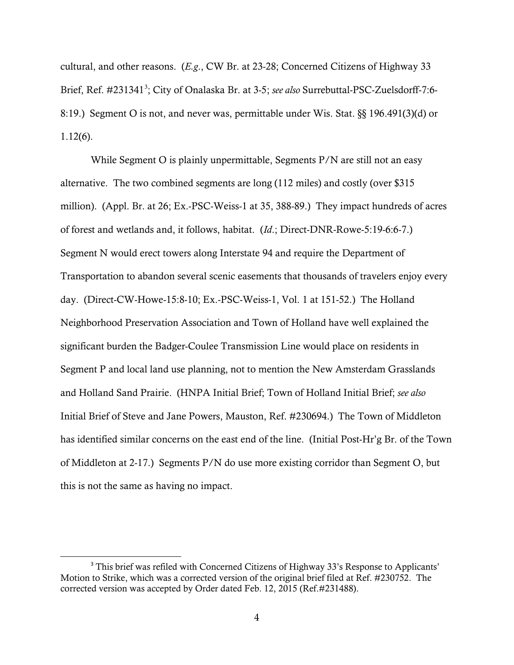cultural, and other reasons. (*E.g*., CW Br. at 23-28; Concerned Citizens of Highway 33 Brief, Ref. #231341<sup>3</sup>; City of Onalaska Br. at 3-5; *see also* Surrebuttal-PSC-Zuelsdorff-7:6-8:19.) Segment O is not, and never was, permittable under Wis. Stat. §§ 196.491(3)(d) or 1.12(6).

While Segment O is plainly unpermittable, Segments P/N are still not an easy alternative. The two combined segments are long (112 miles) and costly (over \$315 million). (Appl. Br. at 26; Ex.-PSC-Weiss-1 at 35, 388-89.) They impact hundreds of acres of forest and wetlands and, it follows, habitat. (*Id*.; Direct-DNR-Rowe-5:19-6:6-7.) Segment N would erect towers along Interstate 94 and require the Department of Transportation to abandon several scenic easements that thousands of travelers enjoy every day. (Direct-CW-Howe-15:8-10; Ex.-PSC-Weiss-1, Vol. 1 at 151-52.) The Holland Neighborhood Preservation Association and Town of Holland have well explained the significant burden the Badger-Coulee Transmission Line would place on residents in Segment P and local land use planning, not to mention the New Amsterdam Grasslands and Holland Sand Prairie. (HNPA Initial Brief; Town of Holland Initial Brief; *see also* Initial Brief of Steve and Jane Powers, Mauston, Ref. #230694.) The Town of Middleton has identified similar concerns on the east end of the line. (Initial Post-Hr'g Br. of the Town of Middleton at 2-17.) Segments P/N do use more existing corridor than Segment O, but this is not the same as having no impact.

<sup>&</sup>lt;sup>3</sup> This brief was refiled with Concerned Citizens of Highway 33's Response to Applicants' Motion to Strike, which was a corrected version of the original brief filed at Ref. #230752. The corrected version was accepted by Order dated Feb. 12, 2015 (Ref.#231488).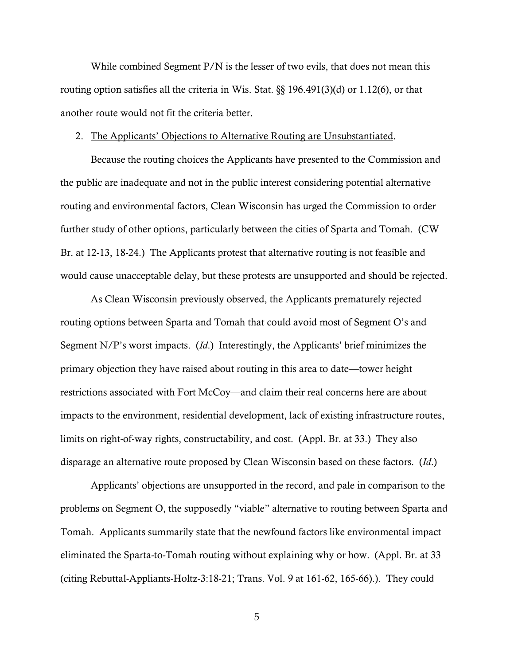While combined Segment  $P/N$  is the lesser of two evils, that does not mean this routing option satisfies all the criteria in Wis. Stat. §§ 196.491(3)(d) or 1.12(6), or that another route would not fit the criteria better.

#### 2. The Applicants' Objections to Alternative Routing are Unsubstantiated.

Because the routing choices the Applicants have presented to the Commission and the public are inadequate and not in the public interest considering potential alternative routing and environmental factors, Clean Wisconsin has urged the Commission to order further study of other options, particularly between the cities of Sparta and Tomah. (CW Br. at 12-13, 18-24.) The Applicants protest that alternative routing is not feasible and would cause unacceptable delay, but these protests are unsupported and should be rejected.

As Clean Wisconsin previously observed, the Applicants prematurely rejected routing options between Sparta and Tomah that could avoid most of Segment O's and Segment N/P's worst impacts. (*Id*.) Interestingly, the Applicants' brief minimizes the primary objection they have raised about routing in this area to date—tower height restrictions associated with Fort McCoy—and claim their real concerns here are about impacts to the environment, residential development, lack of existing infrastructure routes, limits on right-of-way rights, constructability, and cost. (Appl. Br. at 33.) They also disparage an alternative route proposed by Clean Wisconsin based on these factors. (*Id*.)

Applicants' objections are unsupported in the record, and pale in comparison to the problems on Segment O, the supposedly "viable" alternative to routing between Sparta and Tomah. Applicants summarily state that the newfound factors like environmental impact eliminated the Sparta-to-Tomah routing without explaining why or how. (Appl. Br. at 33 (citing Rebuttal-Appliants-Holtz-3:18-21; Trans. Vol. 9 at 161-62, 165-66).). They could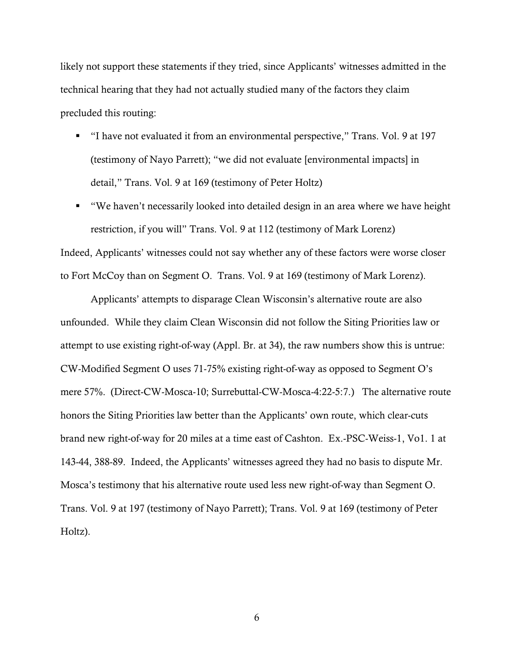likely not support these statements if they tried, since Applicants' witnesses admitted in the technical hearing that they had not actually studied many of the factors they claim precluded this routing:

- "I have not evaluated it from an environmental perspective," Trans. Vol. 9 at 197 (testimony of Nayo Parrett); "we did not evaluate [environmental impacts] in detail," Trans. Vol. 9 at 169 (testimony of Peter Holtz)
- "We haven't necessarily looked into detailed design in an area where we have height restriction, if you will" Trans. Vol. 9 at 112 (testimony of Mark Lorenz)

Indeed, Applicants' witnesses could not say whether any of these factors were worse closer to Fort McCoy than on Segment O. Trans. Vol. 9 at 169 (testimony of Mark Lorenz).

Applicants' attempts to disparage Clean Wisconsin's alternative route are also unfounded. While they claim Clean Wisconsin did not follow the Siting Priorities law or attempt to use existing right-of-way (Appl. Br. at 34), the raw numbers show this is untrue: CW-Modified Segment O uses 71-75% existing right-of-way as opposed to Segment O's mere 57%. (Direct-CW-Mosca-10; Surrebuttal-CW-Mosca-4:22-5:7.) The alternative route honors the Siting Priorities law better than the Applicants' own route, which clear-cuts brand new right-of-way for 20 miles at a time east of Cashton. Ex.-PSC-Weiss-1, Vo1. 1 at 143-44, 388-89. Indeed, the Applicants' witnesses agreed they had no basis to dispute Mr. Mosca's testimony that his alternative route used less new right-of-way than Segment O. Trans. Vol. 9 at 197 (testimony of Nayo Parrett); Trans. Vol. 9 at 169 (testimony of Peter Holtz).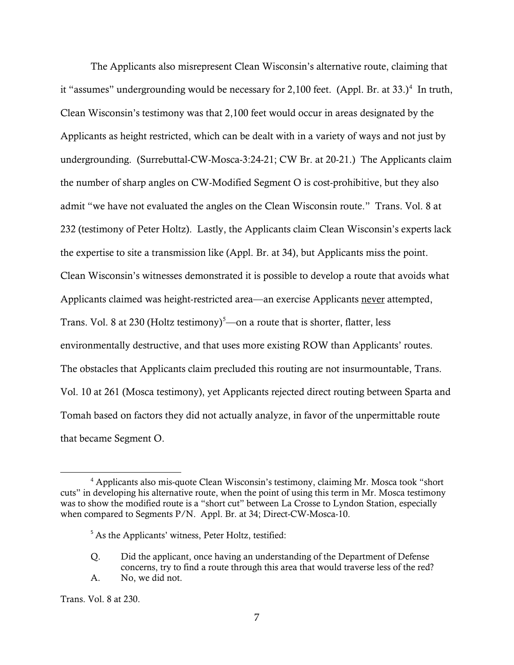The Applicants also misrepresent Clean Wisconsin's alternative route, claiming that it "assumes" undergrounding would be necessary for 2,100 feet. (Appl. Br. at 33.)<sup>4</sup> In truth, Clean Wisconsin's testimony was that 2,100 feet would occur in areas designated by the Applicants as height restricted, which can be dealt with in a variety of ways and not just by undergrounding. (Surrebuttal-CW-Mosca-3:24-21; CW Br. at 20-21.) The Applicants claim the number of sharp angles on CW-Modified Segment O is cost-prohibitive, but they also admit "we have not evaluated the angles on the Clean Wisconsin route." Trans. Vol. 8 at 232 (testimony of Peter Holtz). Lastly, the Applicants claim Clean Wisconsin's experts lack the expertise to site a transmission like (Appl. Br. at 34), but Applicants miss the point. Clean Wisconsin's witnesses demonstrated it is possible to develop a route that avoids what Applicants claimed was height-restricted area—an exercise Applicants never attempted, Trans. Vol. 8 at 230 (Holtz testimony)<sup>5</sup>—on a route that is shorter, flatter, less environmentally destructive, and that uses more existing ROW than Applicants' routes. The obstacles that Applicants claim precluded this routing are not insurmountable, Trans. Vol. 10 at 261 (Mosca testimony), yet Applicants rejected direct routing between Sparta and Tomah based on factors they did not actually analyze, in favor of the unpermittable route that became Segment O.

l

<sup>&</sup>lt;sup>4</sup> Applicants also mis-quote Clean Wisconsin's testimony, claiming Mr. Mosca took "short" cuts" in developing his alternative route, when the point of using this term in Mr. Mosca testimony was to show the modified route is a "short cut" between La Crosse to Lyndon Station, especially when compared to Segments P/N. Appl. Br. at 34; Direct-CW-Mosca-10.

<sup>&</sup>lt;sup>5</sup> As the Applicants' witness, Peter Holtz, testified:

Q. Did the applicant, once having an understanding of the Department of Defense concerns, try to find a route through this area that would traverse less of the red? A. No, we did not.

Trans. Vol. 8 at 230.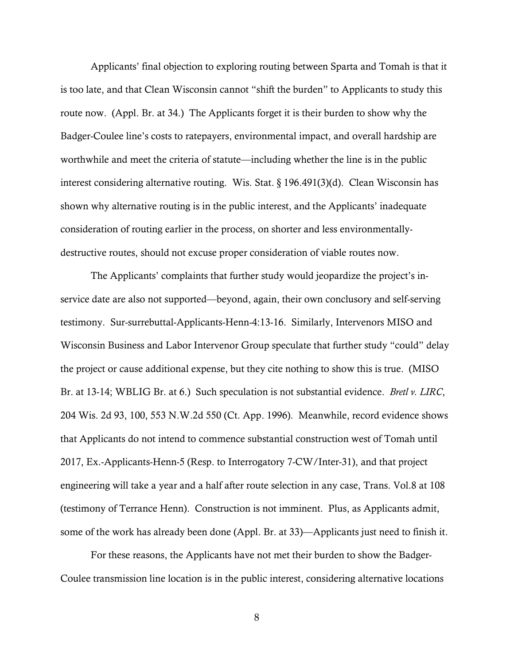Applicants' final objection to exploring routing between Sparta and Tomah is that it is too late, and that Clean Wisconsin cannot "shift the burden" to Applicants to study this route now. (Appl. Br. at 34.) The Applicants forget it is their burden to show why the Badger-Coulee line's costs to ratepayers, environmental impact, and overall hardship are worthwhile and meet the criteria of statute—including whether the line is in the public interest considering alternative routing. Wis. Stat. § 196.491(3)(d). Clean Wisconsin has shown why alternative routing is in the public interest, and the Applicants' inadequate consideration of routing earlier in the process, on shorter and less environmentallydestructive routes, should not excuse proper consideration of viable routes now.

The Applicants' complaints that further study would jeopardize the project's inservice date are also not supported—beyond, again, their own conclusory and self-serving testimony. Sur-surrebuttal-Applicants-Henn-4:13-16. Similarly, Intervenors MISO and Wisconsin Business and Labor Intervenor Group speculate that further study "could" delay the project or cause additional expense, but they cite nothing to show this is true. (MISO Br. at 13-14; WBLIG Br. at 6.) Such speculation is not substantial evidence. *Bretl v. LIRC*, 204 Wis. 2d 93, 100, 553 N.W.2d 550 (Ct. App. 1996). Meanwhile, record evidence shows that Applicants do not intend to commence substantial construction west of Tomah until 2017, Ex.-Applicants-Henn-5 (Resp. to Interrogatory 7-CW/Inter-31), and that project engineering will take a year and a half after route selection in any case, Trans. Vol.8 at 108 (testimony of Terrance Henn). Construction is not imminent. Plus, as Applicants admit, some of the work has already been done (Appl. Br. at 33)—Applicants just need to finish it.

For these reasons, the Applicants have not met their burden to show the Badger-Coulee transmission line location is in the public interest, considering alternative locations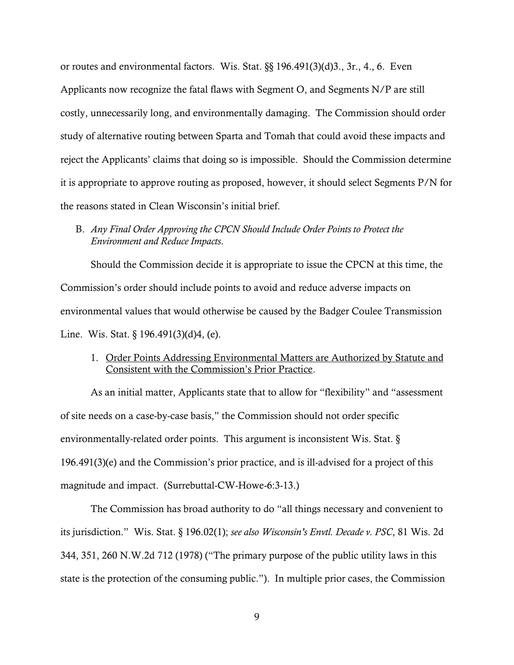or routes and environmental factors. Wis. Stat. §§ 196.491(3)(d)3., 3r., 4., 6. Even Applicants now recognize the fatal flaws with Segment O, and Segments N/P are still costly, unnecessarily long, and environmentally damaging. The Commission should order study of alternative routing between Sparta and Tomah that could avoid these impacts and reject the Applicants' claims that doing so is impossible. Should the Commission determine it is appropriate to approve routing as proposed, however, it should select Segments P/N for the reasons stated in Clean Wisconsin's initial brief.

B. *Any Final Order Approving the CPCN Should Include Order Points to Protect the Environment and Reduce Impacts*.

Should the Commission decide it is appropriate to issue the CPCN at this time, the Commission's order should include points to avoid and reduce adverse impacts on environmental values that would otherwise be caused by the Badger Coulee Transmission Line. Wis. Stat. § 196.491(3)(d)4, (e).

1. Order Points Addressing Environmental Matters are Authorized by Statute and Consistent with the Commission's Prior Practice.

As an initial matter, Applicants state that to allow for "flexibility" and "assessment of site needs on a case-by-case basis," the Commission should not order specific environmentally-related order points. This argument is inconsistent Wis. Stat. § 196.491(3)(e) and the Commission's prior practice, and is ill-advised for a project of this magnitude and impact. (Surrebuttal-CW-Howe-6:3-13.)

The Commission has broad authority to do "all things necessary and convenient to its jurisdiction." Wis. Stat. § 196.02(1); *see also Wisconsin's Envtl. Decade v. PSC*, 81 Wis. 2d 344, 351, 260 N.W.2d 712 (1978) ("The primary purpose of the public utility laws in this state is the protection of the consuming public."). In multiple prior cases, the Commission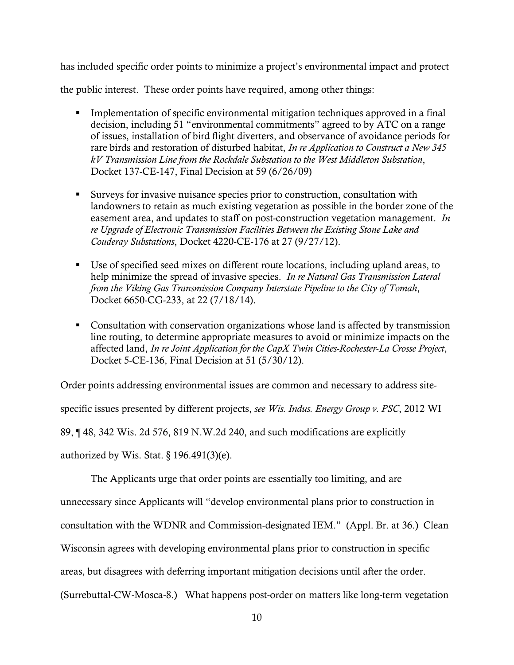has included specific order points to minimize a project's environmental impact and protect

the public interest. These order points have required, among other things:

- Implementation of specific environmental mitigation techniques approved in a final decision, including 51 "environmental commitments" agreed to by ATC on a range of issues, installation of bird flight diverters, and observance of avoidance periods for rare birds and restoration of disturbed habitat, *In re Application to Construct a New 345 kV Transmission Line from the Rockdale Substation to the West Middleton Substation*, Docket 137-CE-147, Final Decision at 59 (6/26/09)
- Surveys for invasive nuisance species prior to construction, consultation with landowners to retain as much existing vegetation as possible in the border zone of the easement area, and updates to staff on post-construction vegetation management. *In re Upgrade of Electronic Transmission Facilities Between the Existing Stone Lake and Couderay Substations*, Docket 4220-CE-176 at 27 (9/27/12).
- Use of specified seed mixes on different route locations, including upland areas, to help minimize the spread of invasive species. *In re Natural Gas Transmission Lateral from the Viking Gas Transmission Company Interstate Pipeline to the City of Tomah*, Docket 6650-CG-233, at 22 (7/18/14).
- Consultation with conservation organizations whose land is affected by transmission line routing, to determine appropriate measures to avoid or minimize impacts on the affected land, *In re Joint Application for the CapX Twin Cities-Rochester-La Crosse Project*, Docket 5-CE-136, Final Decision at 51 (5/30/12).

Order points addressing environmental issues are common and necessary to address sitespecific issues presented by different projects, *see Wis. Indus. Energy Group v. PSC*, 2012 WI 89, ¶ 48, 342 Wis. 2d 576, 819 N.W.2d 240, and such modifications are explicitly

authorized by Wis. Stat.  $\S$  196.491(3)(e).

The Applicants urge that order points are essentially too limiting, and are

unnecessary since Applicants will "develop environmental plans prior to construction in

consultation with the WDNR and Commission-designated IEM." (Appl. Br. at 36.) Clean

Wisconsin agrees with developing environmental plans prior to construction in specific

areas, but disagrees with deferring important mitigation decisions until after the order.

(Surrebuttal-CW-Mosca-8.) What happens post-order on matters like long-term vegetation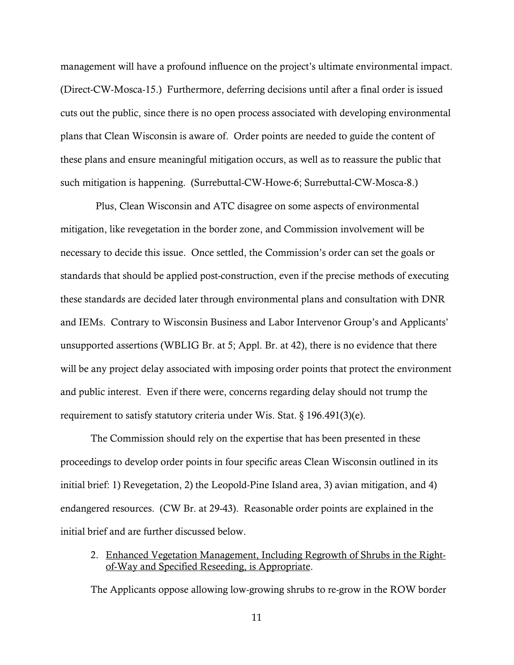management will have a profound influence on the project's ultimate environmental impact. (Direct-CW-Mosca-15.) Furthermore, deferring decisions until after a final order is issued cuts out the public, since there is no open process associated with developing environmental plans that Clean Wisconsin is aware of. Order points are needed to guide the content of these plans and ensure meaningful mitigation occurs, as well as to reassure the public that such mitigation is happening. (Surrebuttal-CW-Howe-6; Surrebuttal-CW-Mosca-8.)

 Plus, Clean Wisconsin and ATC disagree on some aspects of environmental mitigation, like revegetation in the border zone, and Commission involvement will be necessary to decide this issue. Once settled, the Commission's order can set the goals or standards that should be applied post-construction, even if the precise methods of executing these standards are decided later through environmental plans and consultation with DNR and IEMs. Contrary to Wisconsin Business and Labor Intervenor Group's and Applicants' unsupported assertions (WBLIG Br. at 5; Appl. Br. at 42), there is no evidence that there will be any project delay associated with imposing order points that protect the environment and public interest. Even if there were, concerns regarding delay should not trump the requirement to satisfy statutory criteria under Wis. Stat. § 196.491(3)(e).

The Commission should rely on the expertise that has been presented in these proceedings to develop order points in four specific areas Clean Wisconsin outlined in its initial brief: 1) Revegetation, 2) the Leopold-Pine Island area, 3) avian mitigation, and 4) endangered resources. (CW Br. at 29-43). Reasonable order points are explained in the initial brief and are further discussed below.

2. Enhanced Vegetation Management, Including Regrowth of Shrubs in the Rightof-Way and Specified Reseeding, is Appropriate.

The Applicants oppose allowing low-growing shrubs to re-grow in the ROW border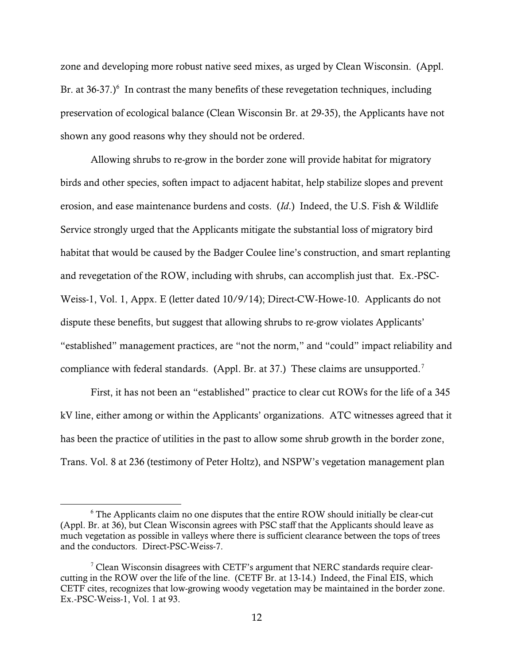zone and developing more robust native seed mixes, as urged by Clean Wisconsin. (Appl. Br. at  $36-37$ .) $6$  In contrast the many benefits of these revegetation techniques, including preservation of ecological balance (Clean Wisconsin Br. at 29-35), the Applicants have not shown any good reasons why they should not be ordered.

Allowing shrubs to re-grow in the border zone will provide habitat for migratory birds and other species, soften impact to adjacent habitat, help stabilize slopes and prevent erosion, and ease maintenance burdens and costs. (*Id*.) Indeed, the U.S. Fish & Wildlife Service strongly urged that the Applicants mitigate the substantial loss of migratory bird habitat that would be caused by the Badger Coulee line's construction, and smart replanting and revegetation of the ROW, including with shrubs, can accomplish just that. Ex.-PSC-Weiss-1, Vol. 1, Appx. E (letter dated 10/9/14); Direct-CW-Howe-10. Applicants do not dispute these benefits, but suggest that allowing shrubs to re-grow violates Applicants' "established" management practices, are "not the norm," and "could" impact reliability and compliance with federal standards. (Appl. Br. at 37.) These claims are unsupported.<sup>7</sup>

First, it has not been an "established" practice to clear cut ROWs for the life of a 345 kV line, either among or within the Applicants' organizations. ATC witnesses agreed that it has been the practice of utilities in the past to allow some shrub growth in the border zone, Trans. Vol. 8 at 236 (testimony of Peter Holtz), and NSPW's vegetation management plan

l

<sup>6</sup> The Applicants claim no one disputes that the entire ROW should initially be clear-cut (Appl. Br. at 36), but Clean Wisconsin agrees with PSC staff that the Applicants should leave as much vegetation as possible in valleys where there is sufficient clearance between the tops of trees and the conductors. Direct-PSC-Weiss-7.

<sup>&</sup>lt;sup>7</sup> Clean Wisconsin disagrees with CETF's argument that NERC standards require clearcutting in the ROW over the life of the line. (CETF Br. at 13-14.) Indeed, the Final EIS, which CETF cites, recognizes that low-growing woody vegetation may be maintained in the border zone. Ex.-PSC-Weiss-1, Vol. 1 at 93.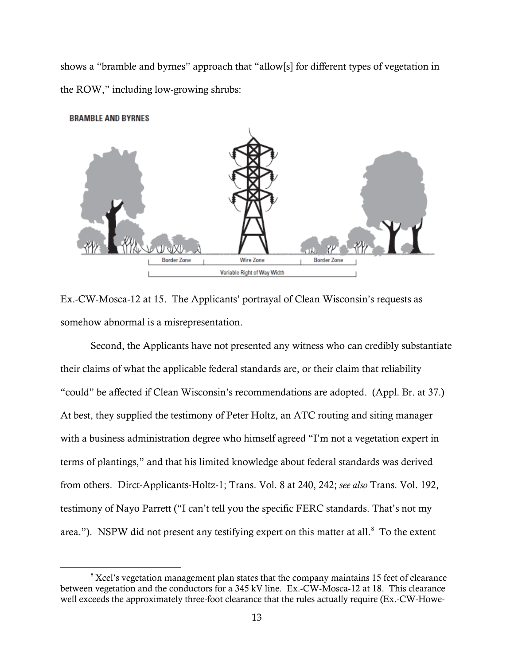shows a "bramble and byrnes" approach that "allow[s] for different types of vegetation in the ROW," including low-growing shrubs:



Ex.-CW-Mosca-12 at 15. The Applicants' portrayal of Clean Wisconsin's requests as somehow abnormal is a misrepresentation.

Second, the Applicants have not presented any witness who can credibly substantiate their claims of what the applicable federal standards are, or their claim that reliability "could" be affected if Clean Wisconsin's recommendations are adopted. (Appl. Br. at 37.) At best, they supplied the testimony of Peter Holtz, an ATC routing and siting manager with a business administration degree who himself agreed "I'm not a vegetation expert in terms of plantings," and that his limited knowledge about federal standards was derived from others. Dirct-Applicants-Holtz-1; Trans. Vol. 8 at 240, 242; *see also* Trans. Vol. 192, testimony of Nayo Parrett ("I can't tell you the specific FERC standards. That's not my area."). NSPW did not present any testifying expert on this matter at all. $^8$  To the extent

<sup>&</sup>lt;sup>8</sup> Xcel's vegetation management plan states that the company maintains 15 feet of clearance between vegetation and the conductors for a 345 kV line. Ex.-CW-Mosca-12 at 18. This clearance well exceeds the approximately three-foot clearance that the rules actually require (Ex.-CW-Howe-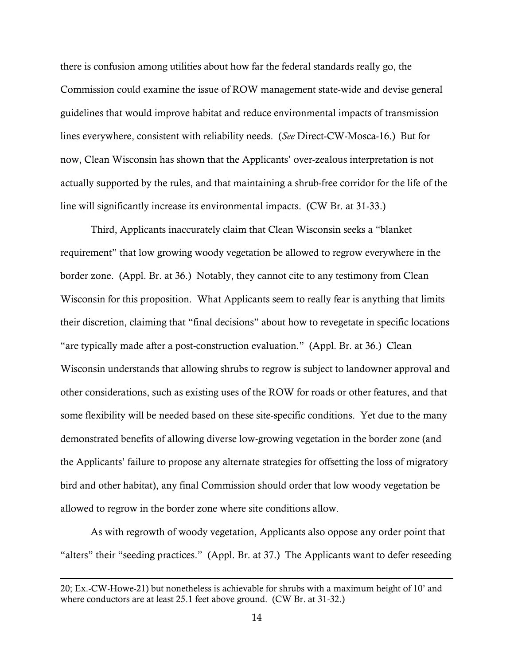there is confusion among utilities about how far the federal standards really go, the Commission could examine the issue of ROW management state-wide and devise general guidelines that would improve habitat and reduce environmental impacts of transmission lines everywhere, consistent with reliability needs. (*See* Direct-CW-Mosca-16.) But for now, Clean Wisconsin has shown that the Applicants' over-zealous interpretation is not actually supported by the rules, and that maintaining a shrub-free corridor for the life of the line will significantly increase its environmental impacts. (CW Br. at 31-33.)

Third, Applicants inaccurately claim that Clean Wisconsin seeks a "blanket requirement" that low growing woody vegetation be allowed to regrow everywhere in the border zone. (Appl. Br. at 36.) Notably, they cannot cite to any testimony from Clean Wisconsin for this proposition. What Applicants seem to really fear is anything that limits their discretion, claiming that "final decisions" about how to revegetate in specific locations "are typically made after a post-construction evaluation." (Appl. Br. at 36.) Clean Wisconsin understands that allowing shrubs to regrow is subject to landowner approval and other considerations, such as existing uses of the ROW for roads or other features, and that some flexibility will be needed based on these site-specific conditions. Yet due to the many demonstrated benefits of allowing diverse low-growing vegetation in the border zone (and the Applicants' failure to propose any alternate strategies for offsetting the loss of migratory bird and other habitat), any final Commission should order that low woody vegetation be allowed to regrow in the border zone where site conditions allow.

As with regrowth of woody vegetation, Applicants also oppose any order point that "alters" their "seeding practices." (Appl. Br. at 37.) The Applicants want to defer reseeding

<sup>20;</sup> Ex.-CW-Howe-21) but nonetheless is achievable for shrubs with a maximum height of 10' and where conductors are at least 25.1 feet above ground. (CW Br. at 31-32.)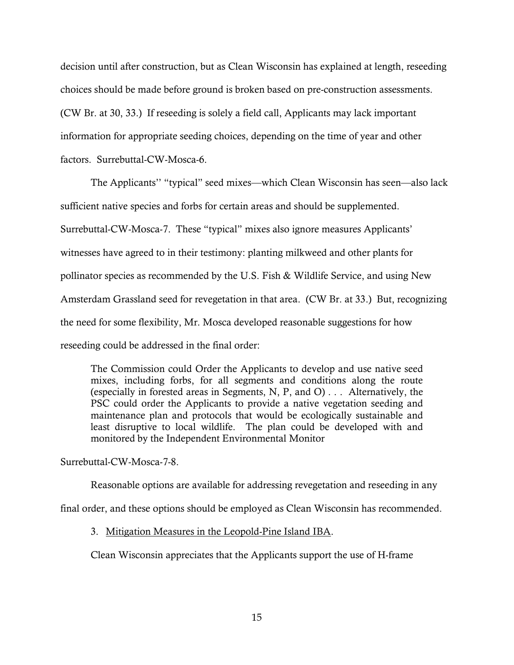decision until after construction, but as Clean Wisconsin has explained at length, reseeding choices should be made before ground is broken based on pre-construction assessments. (CW Br. at 30, 33.) If reseeding is solely a field call, Applicants may lack important information for appropriate seeding choices, depending on the time of year and other factors. Surrebuttal-CW-Mosca-6.

The Applicants'' "typical" seed mixes—which Clean Wisconsin has seen—also lack sufficient native species and forbs for certain areas and should be supplemented. Surrebuttal-CW-Mosca-7. These "typical" mixes also ignore measures Applicants' witnesses have agreed to in their testimony: planting milkweed and other plants for pollinator species as recommended by the U.S. Fish & Wildlife Service, and using New Amsterdam Grassland seed for revegetation in that area. (CW Br. at 33.) But, recognizing the need for some flexibility, Mr. Mosca developed reasonable suggestions for how reseeding could be addressed in the final order:

The Commission could Order the Applicants to develop and use native seed mixes, including forbs, for all segments and conditions along the route (especially in forested areas in Segments, N, P, and O) . . . Alternatively, the PSC could order the Applicants to provide a native vegetation seeding and maintenance plan and protocols that would be ecologically sustainable and least disruptive to local wildlife. The plan could be developed with and monitored by the Independent Environmental Monitor

Surrebuttal-CW-Mosca-7-8.

Reasonable options are available for addressing revegetation and reseeding in any

final order, and these options should be employed as Clean Wisconsin has recommended.

3. Mitigation Measures in the Leopold-Pine Island IBA.

Clean Wisconsin appreciates that the Applicants support the use of H-frame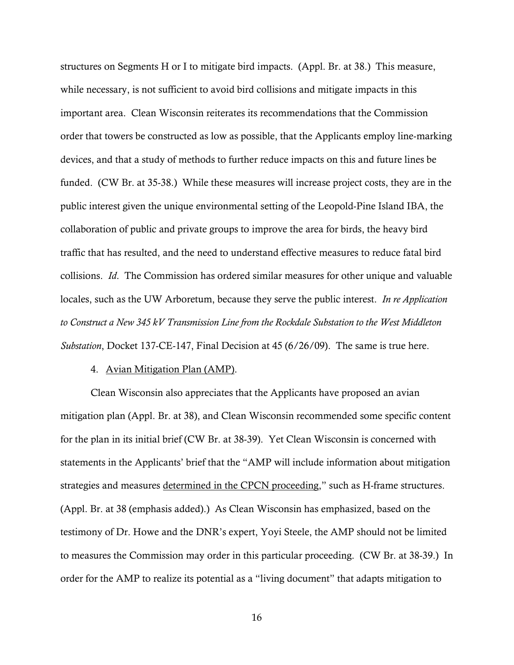structures on Segments H or I to mitigate bird impacts. (Appl. Br. at 38.) This measure, while necessary, is not sufficient to avoid bird collisions and mitigate impacts in this important area. Clean Wisconsin reiterates its recommendations that the Commission order that towers be constructed as low as possible, that the Applicants employ line-marking devices, and that a study of methods to further reduce impacts on this and future lines be funded. (CW Br. at 35-38.) While these measures will increase project costs, they are in the public interest given the unique environmental setting of the Leopold-Pine Island IBA, the collaboration of public and private groups to improve the area for birds, the heavy bird traffic that has resulted, and the need to understand effective measures to reduce fatal bird collisions. *Id*. The Commission has ordered similar measures for other unique and valuable locales, such as the UW Arboretum, because they serve the public interest. *In re Application to Construct a New 345 kV Transmission Line from the Rockdale Substation to the West Middleton Substation*, Docket 137-CE-147, Final Decision at 45 (6/26/09). The same is true here.

## 4. Avian Mitigation Plan (AMP).

Clean Wisconsin also appreciates that the Applicants have proposed an avian mitigation plan (Appl. Br. at 38), and Clean Wisconsin recommended some specific content for the plan in its initial brief (CW Br. at 38-39). Yet Clean Wisconsin is concerned with statements in the Applicants' brief that the "AMP will include information about mitigation strategies and measures determined in the CPCN proceeding," such as H-frame structures. (Appl. Br. at 38 (emphasis added).) As Clean Wisconsin has emphasized, based on the testimony of Dr. Howe and the DNR's expert, Yoyi Steele, the AMP should not be limited to measures the Commission may order in this particular proceeding. (CW Br. at 38-39.) In order for the AMP to realize its potential as a "living document" that adapts mitigation to